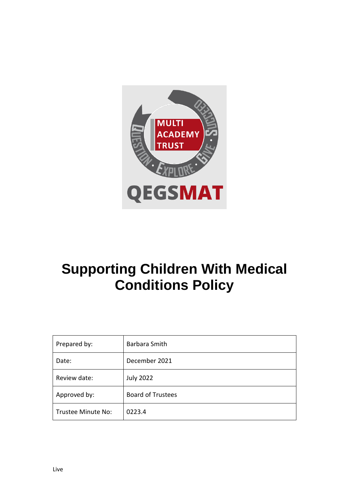

# **Supporting Children With Medical Conditions Policy**

| Prepared by:       | Barbara Smith            |
|--------------------|--------------------------|
| Date:              | December 2021            |
| Review date:       | <b>July 2022</b>         |
| Approved by:       | <b>Board of Trustees</b> |
| Trustee Minute No: | 0223.4                   |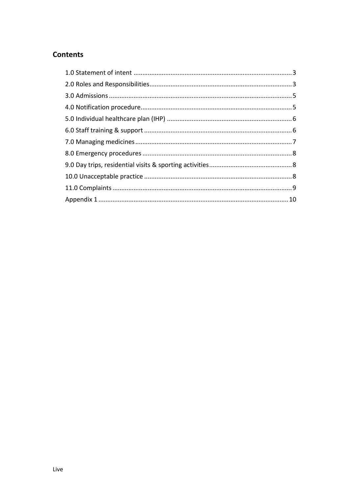# **Contents**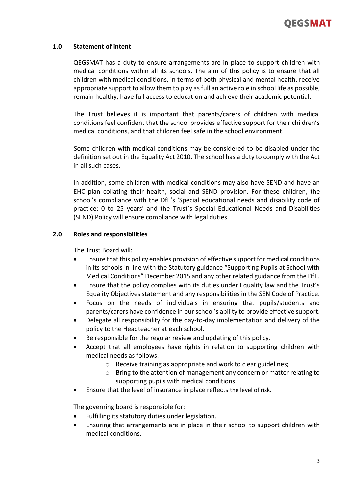## **1.0 Statement of intent**

QEGSMAT has a duty to ensure arrangements are in place to support children with medical conditions within all its schools. The aim of this policy is to ensure that all children with medical conditions, in terms of both physical and mental health, receive appropriate support to allow them to play asfull an active role in school life as possible, remain healthy, have full access to education and achieve their academic potential.

The Trust believes it is important that parents/carers of children with medical conditions feel confident that the school provides effective support for their children's medical conditions, and that children feel safe in the school environment.

Some children with medical conditions may be considered to be disabled under the definition set out in the Equality Act 2010. The school has a duty to comply with the Act in all such cases.

In addition, some children with medical conditions may also have SEND and have an EHC plan collating their health, social and SEND provision. For these children, the school's compliance with the DfE's 'Special educational needs and disability code of practice: 0 to 25 years' and the Trust's Special Educational Needs and Disabilities (SEND) Policy will ensure compliance with legal duties.

#### **2.0 Roles and responsibilities**

The Trust Board will:

- Ensure that this policy enables provision of effective support for medical conditions in its schools in line with the Statutory guidance "Supporting Pupils at School with Medical Conditions" December 2015 and any other related guidance from the DfE.
- Ensure that the policy complies with its duties under Equality law and the Trust's Equality Objectives statement and any responsibilities in the SEN Code of Practice.
- Focus on the needs of individuals in ensuring that pupils/students and parents/carers have confidence in our school's ability to provide effective support.
- Delegate all responsibility for the day-to-day implementation and delivery of the policy to the Headteacher at each school.
- Be responsible for the regular review and updating of this policy.
- Accept that all employees have rights in relation to supporting children with medical needs as follows:
	- o Receive training as appropriate and work to clear guidelines;
	- o Bring to the attention of management any concern or matter relating to supporting pupils with medical conditions.
- Ensure that the level of insurance in place reflects the level of risk.

The governing board is responsible for:

- Fulfilling its statutory duties under legislation.
- Ensuring that arrangements are in place in their school to support children with medical conditions.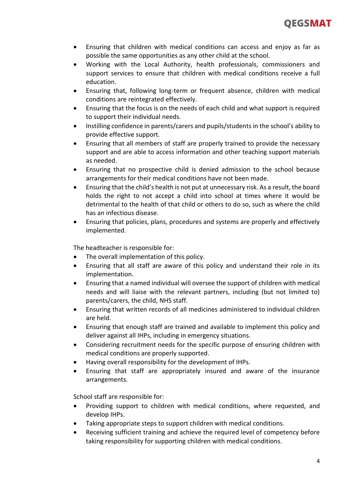

- Ensuring that children with medical conditions can access and enjoy as far as possible the same opportunities as any other child at the school.
- Working with the Local Authority, health professionals, commissioners and support services to ensure that children with medical conditions receive a full education.
- Ensuring that, following long-term or frequent absence, children with medical conditions are reintegrated effectively.
- Ensuring that the focus is on the needs of each child and what support is required to support their individual needs.
- Instilling confidence in parents/carers and pupils/students in the school's ability to provide effective support.
- Ensuring that all members of staff are properly trained to provide the necessary support and are able to access information and other teaching support materials as needed.
- Ensuring that no prospective child is denied admission to the school because arrangements for their medical conditions have not been made.
- Ensuring that the child's health is not put at unnecessary risk. As a result, the board holds the right to not accept a child into school at times where it would be detrimental to the health of that child or others to do so, such as where the child has an infectious disease.
- Ensuring that policies, plans, procedures and systems are properly and effectively implemented.

The headteacher is responsible for:

- The overall implementation of this policy.
- Ensuring that all staff are aware of this policy and understand their role in its implementation.
- Ensuring that a named individual will oversee the support of children with medical needs and will liaise with the relevant partners, including (but not limited to) parents/carers, the child, NHS staff.
- Ensuring that written records of all medicines administered to individual children are held.
- Ensuring that enough staff are trained and available to implement this policy and deliver against all IHPs, including in emergency situations.
- Considering recruitment needs for the specific purpose of ensuring children with medical conditions are properly supported.
- Having overall responsibility for the development of IHPs.
- Ensuring that staff are appropriately insured and aware of the insurance arrangements.

School staff are responsible for:

- Providing support to children with medical conditions, where requested, and develop IHPs.
- Taking appropriate steps to support children with medical conditions.
- Receiving sufficient training and achieve the required level of competency before taking responsibility for supporting children with medical conditions.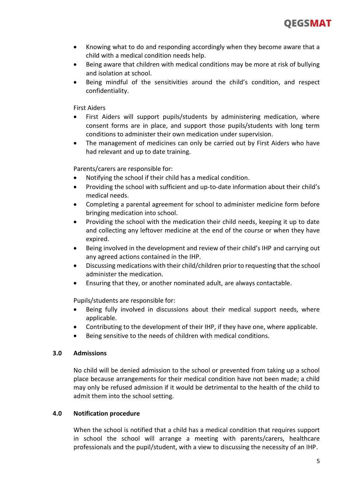- Knowing what to do and responding accordingly when they become aware that a child with a medical condition needs help.
- Being aware that children with medical conditions may be more at risk of bullying and isolation at school.
- Being mindful of the sensitivities around the child's condition, and respect confidentiality.

First Aiders

- First Aiders will support pupils/students by administering medication, where consent forms are in place, and support those pupils/students with long term conditions to administer their own medication under supervision.
- The management of medicines can only be carried out by First Aiders who have had relevant and up to date training.

Parents/carers are responsible for:

- Notifying the school if their child has a medical condition.
- Providing the school with sufficient and up-to-date information about their child's medical needs.
- Completing a parental agreement for school to administer medicine form before bringing medication into school.
- Providing the school with the medication their child needs, keeping it up to date and collecting any leftover medicine at the end of the course or when they have expired.
- Being involved in the development and review of their child's IHP and carrying out any agreed actions contained in the IHP.
- Discussing medications with their child/children prior to requesting that the school administer the medication.
- Ensuring that they, or another nominated adult, are always contactable.

Pupils/students are responsible for:

- Being fully involved in discussions about their medical support needs, where applicable.
- Contributing to the development of their IHP, if they have one, where applicable.
- Being sensitive to the needs of children with medical conditions.

#### **3.0 Admissions**

No child will be denied admission to the school or prevented from taking up a school place because arrangements for their medical condition have not been made; a child may only be refused admission if it would be detrimental to the health of the child to admit them into the school setting.

#### **4.0 Notification procedure**

When the school is notified that a child has a medical condition that requires support in school the school will arrange a meeting with parents/carers, healthcare professionals and the pupil/student, with a view to discussing the necessity of an IHP.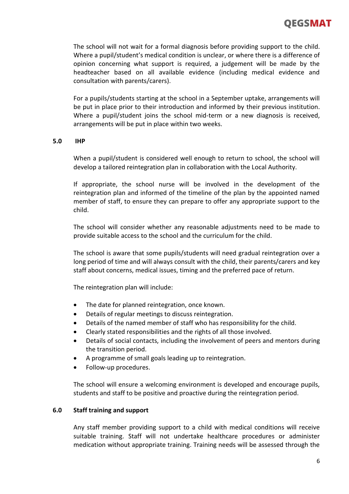

The school will not wait for a formal diagnosis before providing support to the child. Where a pupil/student's medical condition is unclear, or where there is a difference of opinion concerning what support is required, a judgement will be made by the headteacher based on all available evidence (including medical evidence and consultation with parents/carers).

For a pupils/students starting at the school in a September uptake, arrangements will be put in place prior to their introduction and informed by their previous institution. Where a pupil/student joins the school mid-term or a new diagnosis is received, arrangements will be put in place within two weeks.

#### **5.0 IHP**

When a pupil/student is considered well enough to return to school, the school will develop a tailored reintegration plan in collaboration with the Local Authority.

If appropriate, the school nurse will be involved in the development of the reintegration plan and informed of the timeline of the plan by the appointed named member of staff, to ensure they can prepare to offer any appropriate support to the child.

The school will consider whether any reasonable adjustments need to be made to provide suitable access to the school and the curriculum for the child.

The school is aware that some pupils/students will need gradual reintegration over a long period of time and will always consult with the child, their parents/carers and key staff about concerns, medical issues, timing and the preferred pace of return.

The reintegration plan will include:

- The date for planned reintegration, once known.
- Details of regular meetings to discuss reintegration.
- Details of the named member of staff who has responsibility for the child.
- Clearly stated responsibilities and the rights of all those involved.
- Details of social contacts, including the involvement of peers and mentors during the transition period.
- A programme of small goals leading up to reintegration.
- Follow-up procedures.

The school will ensure a welcoming environment is developed and encourage pupils, students and staff to be positive and proactive during the reintegration period.

#### **6.0 Staff training and support**

Any staff member providing support to a child with medical conditions will receive suitable training. Staff will not undertake healthcare procedures or administer medication without appropriate training. Training needs will be assessed through the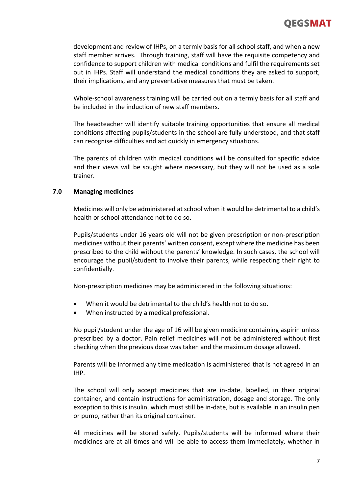

development and review of IHPs, on a termly basis for all school staff, and when a new staff member arrives. Through training, staff will have the requisite competency and confidence to support children with medical conditions and fulfil the requirements set out in IHPs. Staff will understand the medical conditions they are asked to support, their implications, and any preventative measures that must be taken.

Whole-school awareness training will be carried out on a termly basis for all staff and be included in the induction of new staff members.

The headteacher will identify suitable training opportunities that ensure all medical conditions affecting pupils/students in the school are fully understood, and that staff can recognise difficulties and act quickly in emergency situations.

The parents of children with medical conditions will be consulted for specific advice and their views will be sought where necessary, but they will not be used as a sole trainer.

#### **7.0 Managing medicines**

Medicines will only be administered at school when it would be detrimental to a child's health or school attendance not to do so.

Pupils/students under 16 years old will not be given prescription or non-prescription medicines without their parents' written consent, except where the medicine has been prescribed to the child without the parents' knowledge. In such cases, the school will encourage the pupil/student to involve their parents, while respecting their right to confidentially.

Non-prescription medicines may be administered in the following situations:

- When it would be detrimental to the child's health not to do so.
- When instructed by a medical professional.

No pupil/student under the age of 16 will be given medicine containing aspirin unless prescribed by a doctor. Pain relief medicines will not be administered without first checking when the previous dose was taken and the maximum dosage allowed.

Parents will be informed any time medication is administered that is not agreed in an IHP.

The school will only accept medicines that are in-date, labelled, in their original container, and contain instructions for administration, dosage and storage. The only exception to this is insulin, which must still be in-date, but is available in an insulin pen or pump, rather than its original container.

All medicines will be stored safely. Pupils/students will be informed where their medicines are at all times and will be able to access them immediately, whether in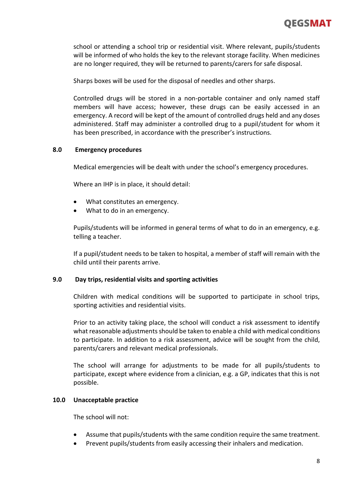

school or attending a school trip or residential visit. Where relevant, pupils/students will be informed of who holds the key to the relevant storage facility. When medicines are no longer required, they will be returned to parents/carers for safe disposal.

Sharps boxes will be used for the disposal of needles and other sharps.

Controlled drugs will be stored in a non-portable container and only named staff members will have access; however, these drugs can be easily accessed in an emergency. A record will be kept of the amount of controlled drugs held and any doses administered. Staff may administer a controlled drug to a pupil/student for whom it has been prescribed, in accordance with the prescriber's instructions.

#### **8.0 Emergency procedures**

Medical emergencies will be dealt with under the school's emergency procedures.

Where an IHP is in place, it should detail:

- What constitutes an emergency.
- What to do in an emergency.

Pupils/students will be informed in general terms of what to do in an emergency, e.g. telling a teacher.

If a pupil/student needs to be taken to hospital, a member of staff will remain with the child until their parents arrive.

#### **9.0 Day trips, residential visits and sporting activities**

Children with medical conditions will be supported to participate in school trips, sporting activities and residential visits.

Prior to an activity taking place, the school will conduct a risk assessment to identify what reasonable adjustments should be taken to enable a child with medical conditions to participate. In addition to a risk assessment, advice will be sought from the child, parents/carers and relevant medical professionals.

The school will arrange for adjustments to be made for all pupils/students to participate, except where evidence from a clinician, e.g. a GP, indicates that this is not possible.

#### **10.0 Unacceptable practice**

The school will not:

- Assume that pupils/students with the same condition require the same treatment.
- Prevent pupils/students from easily accessing their inhalers and medication.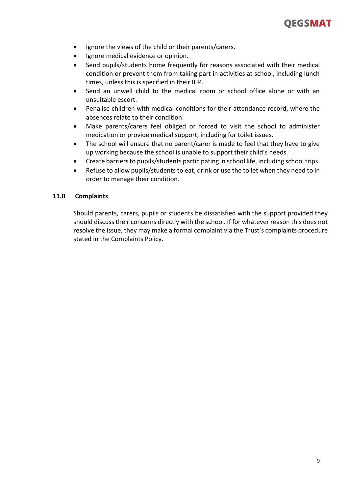

- Ignore the views of the child or their parents/carers.
- Ignore medical evidence or opinion.
- Send pupils/students home frequently for reasons associated with their medical condition or prevent them from taking part in activities at school, including lunch times, unless this is specified in their IHP.
- Send an unwell child to the medical room or school office alone or with an unsuitable escort.
- Penalise children with medical conditions for their attendance record, where the absences relate to their condition.
- Make parents/carers feel obliged or forced to visit the school to administer medication or provide medical support, including for toilet issues.
- The school will ensure that no parent/carer is made to feel that they have to give up working because the school is unable to support their child's needs.
- Create barriers to pupils/students participating in school life, including school trips.
- Refuse to allow pupils/students to eat, drink or use the toilet when they need to in order to manage their condition.

#### **11.0 Complaints**

Should parents, carers, pupils or students be dissatisfied with the support provided they should discuss their concerns directly with the school. If for whatever reason this does not resolve the issue, they may make a formal complaint via the Trust's complaints procedure stated in the Complaints Policy.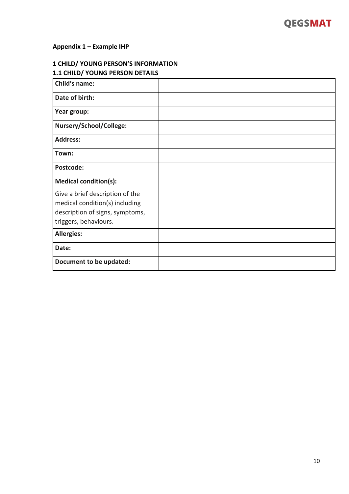# **Appendix 1 – Example IHP**

# **1 CHILD/ YOUNG PERSON'S INFORMATION**

| 1.1 CHILD/ YOUNG PERSON DETAILS                                                                                               |  |
|-------------------------------------------------------------------------------------------------------------------------------|--|
| Child's name:                                                                                                                 |  |
| Date of birth:                                                                                                                |  |
| Year group:                                                                                                                   |  |
| Nursery/School/College:                                                                                                       |  |
| <b>Address:</b>                                                                                                               |  |
| Town:                                                                                                                         |  |
| Postcode:                                                                                                                     |  |
| <b>Medical condition(s):</b>                                                                                                  |  |
| Give a brief description of the<br>medical condition(s) including<br>description of signs, symptoms,<br>triggers, behaviours. |  |
| <b>Allergies:</b>                                                                                                             |  |
| Date:                                                                                                                         |  |
| Document to be updated:                                                                                                       |  |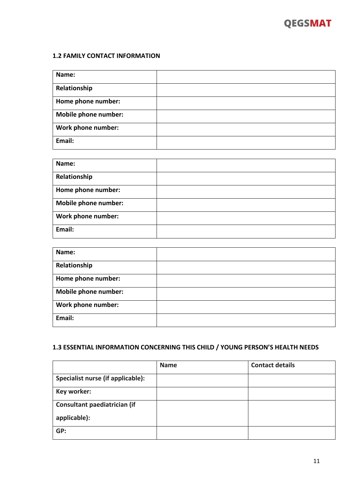

# **1.2 FAMILY CONTACT INFORMATION**

| Name:                       |  |
|-----------------------------|--|
| Relationship                |  |
| Home phone number:          |  |
| <b>Mobile phone number:</b> |  |
| Work phone number:          |  |
| Email:                      |  |

| Name:                       |  |
|-----------------------------|--|
| Relationship                |  |
| Home phone number:          |  |
| <b>Mobile phone number:</b> |  |
| Work phone number:          |  |
| Email:                      |  |

| Name:                       |  |
|-----------------------------|--|
| Relationship                |  |
| Home phone number:          |  |
| <b>Mobile phone number:</b> |  |
| Work phone number:          |  |
| Email:                      |  |

# **1.3 ESSENTIAL INFORMATION CONCERNING THIS CHILD / YOUNG PERSON'S HEALTH NEEDS**

|                                   | <b>Name</b> | <b>Contact details</b> |
|-----------------------------------|-------------|------------------------|
| Specialist nurse (if applicable): |             |                        |
| Key worker:                       |             |                        |
| Consultant paediatrician (if      |             |                        |
| applicable):                      |             |                        |
| GP:                               |             |                        |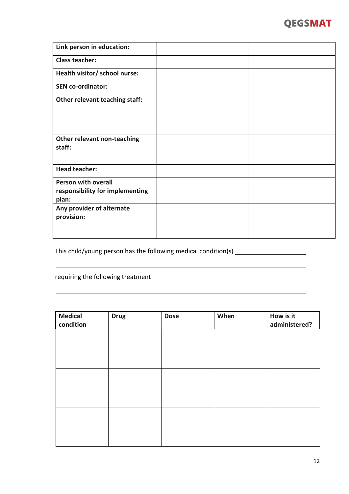

| Link person in education:                                              |  |
|------------------------------------------------------------------------|--|
| <b>Class teacher:</b>                                                  |  |
| Health visitor/ school nurse:                                          |  |
| <b>SEN co-ordinator:</b>                                               |  |
| Other relevant teaching staff:                                         |  |
| Other relevant non-teaching<br>staff:                                  |  |
| <b>Head teacher:</b>                                                   |  |
| <b>Person with overall</b><br>responsibility for implementing<br>plan: |  |
| Any provider of alternate<br>provision:                                |  |

This child/young person has the following medical condition(s) \_\_\_\_\_\_\_\_\_\_\_\_\_\_\_\_\_

requiring the following treatment

| <b>Medical</b><br>condition | <b>Drug</b> | <b>Dose</b> | When | How is it<br>administered? |
|-----------------------------|-------------|-------------|------|----------------------------|
|                             |             |             |      |                            |
|                             |             |             |      |                            |
|                             |             |             |      |                            |
|                             |             |             |      |                            |
|                             |             |             |      |                            |
|                             |             |             |      |                            |
|                             |             |             |      |                            |
|                             |             |             |      |                            |
|                             |             |             |      |                            |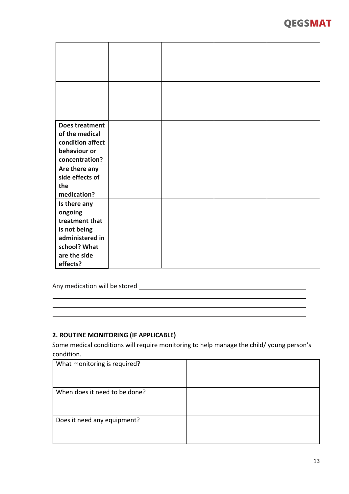| Does treatment   |  |  |
|------------------|--|--|
| of the medical   |  |  |
| condition affect |  |  |
| behaviour or     |  |  |
| concentration?   |  |  |
| Are there any    |  |  |
| side effects of  |  |  |
| the              |  |  |
| medication?      |  |  |
| Is there any     |  |  |
| ongoing          |  |  |
| treatment that   |  |  |
| is not being     |  |  |
| administered in  |  |  |
| school? What     |  |  |
| are the side     |  |  |
| effects?         |  |  |

Any medication will be stored

# **2. ROUTINE MONITORING (IF APPLICABLE)**

Some medical conditions will require monitoring to help manage the child/ young person's condition.

| What monitoring is required?  |  |
|-------------------------------|--|
| When does it need to be done? |  |
| Does it need any equipment?   |  |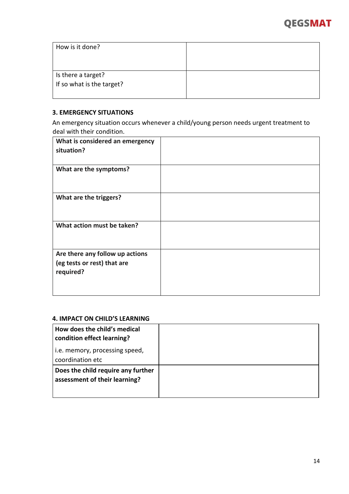

| How is it done?                                 |  |
|-------------------------------------------------|--|
| Is there a target?<br>If so what is the target? |  |

# **3. EMERGENCY SITUATIONS**

An emergency situation occurs whenever a child/young person needs urgent treatment to deal with their condition.

| What is considered an emergency<br>situation?                               |  |
|-----------------------------------------------------------------------------|--|
| What are the symptoms?                                                      |  |
| What are the triggers?                                                      |  |
| What action must be taken?                                                  |  |
| Are there any follow up actions<br>(eg tests or rest) that are<br>required? |  |

## **4. IMPACT ON CHILD'S LEARNING**

| How does the child's medical<br>condition effect learning?          |  |
|---------------------------------------------------------------------|--|
| i.e. memory, processing speed,<br>coordination etc                  |  |
| Does the child require any further<br>assessment of their learning? |  |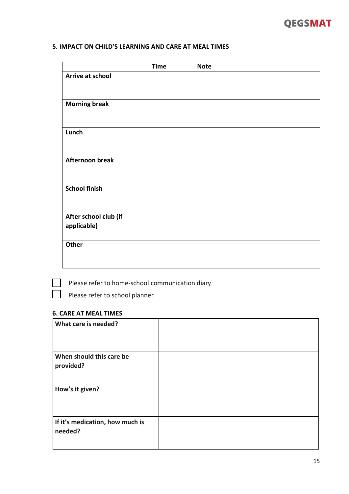

# **5. IMPACT ON CHILD'S LEARNING AND CARE AT MEAL TIMES**

|                        | <b>Time</b> | <b>Note</b> |
|------------------------|-------------|-------------|
| Arrive at school       |             |             |
|                        |             |             |
|                        |             |             |
| <b>Morning break</b>   |             |             |
|                        |             |             |
|                        |             |             |
| Lunch                  |             |             |
|                        |             |             |
|                        |             |             |
| <b>Afternoon break</b> |             |             |
|                        |             |             |
|                        |             |             |
| <b>School finish</b>   |             |             |
|                        |             |             |
|                        |             |             |
| After school club (if  |             |             |
| applicable)            |             |             |
|                        |             |             |
| Other                  |             |             |
|                        |             |             |
|                        |             |             |
|                        |             |             |



Please refer to home-school communication diary

Please refer to school planner

# **6. CARE AT MEAL TIMES**

| What care is needed?                       |  |
|--------------------------------------------|--|
| When should this care be<br>provided?      |  |
| How's it given?                            |  |
| If it's medication, how much is<br>needed? |  |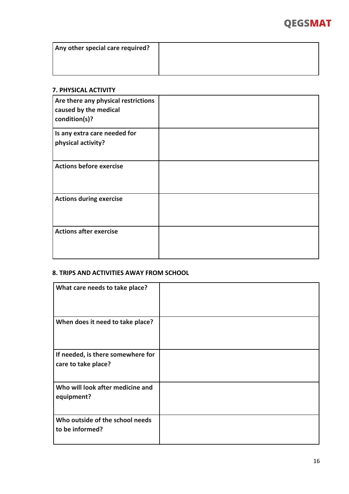# **QEGSMAT**

| Any other special care required? |  |
|----------------------------------|--|
|                                  |  |
|                                  |  |

# **7. PHYSICAL ACTIVITY**

| Are there any physical restrictions<br>caused by the medical<br>condition(s)? |  |
|-------------------------------------------------------------------------------|--|
| Is any extra care needed for<br>physical activity?                            |  |
| <b>Actions before exercise</b>                                                |  |
| <b>Actions during exercise</b>                                                |  |
| <b>Actions after exercise</b>                                                 |  |

# **8. TRIPS AND ACTIVITIES AWAY FROM SCHOOL**

| What care needs to take place?    |  |
|-----------------------------------|--|
|                                   |  |
|                                   |  |
|                                   |  |
|                                   |  |
| When does it need to take place?  |  |
|                                   |  |
|                                   |  |
|                                   |  |
|                                   |  |
|                                   |  |
| If needed, is there somewhere for |  |
| care to take place?               |  |
|                                   |  |
|                                   |  |
|                                   |  |
| Who will look after medicine and  |  |
|                                   |  |
| equipment?                        |  |
|                                   |  |
|                                   |  |
| Who outside of the school needs   |  |
|                                   |  |
| to be informed?                   |  |
|                                   |  |
|                                   |  |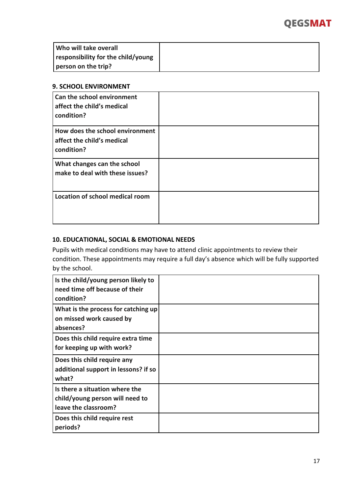

| Who will take overall              |  |
|------------------------------------|--|
| responsibility for the child/young |  |
| person on the trip?                |  |

#### **9. SCHOOL ENVIRONMENT**

| Can the school environment<br>affect the child's medical<br>condition?      |  |
|-----------------------------------------------------------------------------|--|
| How does the school environment<br>affect the child's medical<br>condition? |  |
| What changes can the school<br>make to deal with these issues?              |  |
| Location of school medical room                                             |  |

# **10. EDUCATIONAL, SOCIAL & EMOTIONAL NEEDS**

Pupils with medical conditions may have to attend clinic appointments to review their condition. These appointments may require a full day's absence which will be fully supported by the school.

| Is the child/young person likely to<br>need time off because of their<br>condition?       |  |
|-------------------------------------------------------------------------------------------|--|
| What is the process for catching up<br>on missed work caused by<br>absences?              |  |
| Does this child require extra time<br>for keeping up with work?                           |  |
| Does this child require any<br>additional support in lessons? if so<br>what?              |  |
| Is there a situation where the<br>child/young person will need to<br>leave the classroom? |  |
| Does this child require rest<br>periods?                                                  |  |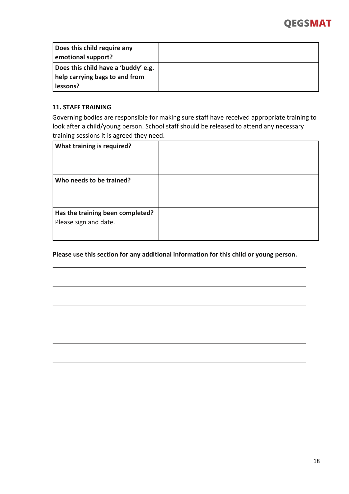

| Does this child require any<br>emotional support?                                 |  |
|-----------------------------------------------------------------------------------|--|
| Does this child have a 'buddy' e.g.<br>help carrying bags to and from<br>lessons? |  |

## **11. STAFF TRAINING**

Governing bodies are responsible for making sure staff have received appropriate training to look after a child/young person. School staff should be released to attend any necessary training sessions it is agreed they need.

| What training is required?                                |  |
|-----------------------------------------------------------|--|
| Who needs to be trained?                                  |  |
| Has the training been completed?<br>Please sign and date. |  |

**Please use this section for any additional information for this child or young person.**